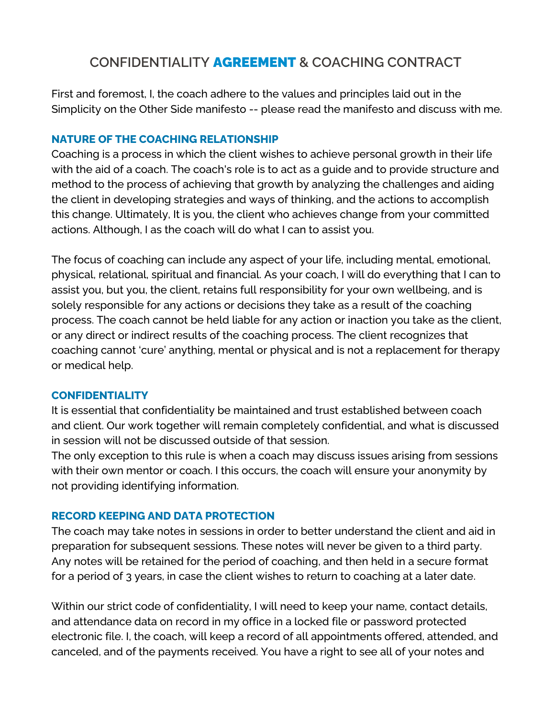# **CONFIDENTIALITY** AGREEMENT **& COACHING CONTRACT**

First and foremost, I, the coach adhere to the values and principles laid out in the Simplicity on the Other Side manifesto -- please read the manifesto and discuss with me.

## **NATURE OF THE COACHING RELATIONSHIP**

Coaching is a process in which the client wishes to achieve personal growth in their life with the aid of a coach. The coach's role is to act as a guide and to provide structure and method to the process of achieving that growth by analyzing the challenges and aiding the client in developing strategies and ways of thinking, and the actions to accomplish this change. Ultimately, It is you, the client who achieves change from your committed actions. Although, I as the coach will do what I can to assist you.

The focus of coaching can include any aspect of your life, including mental, emotional, physical, relational, spiritual and financial. As your coach, I will do everything that I can to assist you, but you, the client, retains full responsibility for your own wellbeing, and is solely responsible for any actions or decisions they take as a result of the coaching process. The coach cannot be held liable for any action or inaction you take as the client, or any direct or indirect results of the coaching process. The client recognizes that coaching cannot 'cure' anything, mental or physical and is not a replacement for therapy or medical help.

## **CONFIDENTIALITY**

It is essential that confidentiality be maintained and trust established between coach and client. Our work together will remain completely confidential, and what is discussed in session will not be discussed outside of that session.

The only exception to this rule is when a coach may discuss issues arising from sessions with their own mentor or coach. I this occurs, the coach will ensure your anonymity by not providing identifying information.

## **RECORD KEEPING AND DATA PROTECTION**

The coach may take notes in sessions in order to better understand the client and aid in preparation for subsequent sessions. These notes will never be given to a third party. Any notes will be retained for the period of coaching, and then held in a secure format for a period of 3 years, in case the client wishes to return to coaching at a later date.

Within our strict code of confidentiality, I will need to keep your name, contact details, and attendance data on record in my office in a locked file or password protected electronic file. I, the coach, will keep a record of all appointments offered, attended, and canceled, and of the payments received. You have a right to see all of your notes and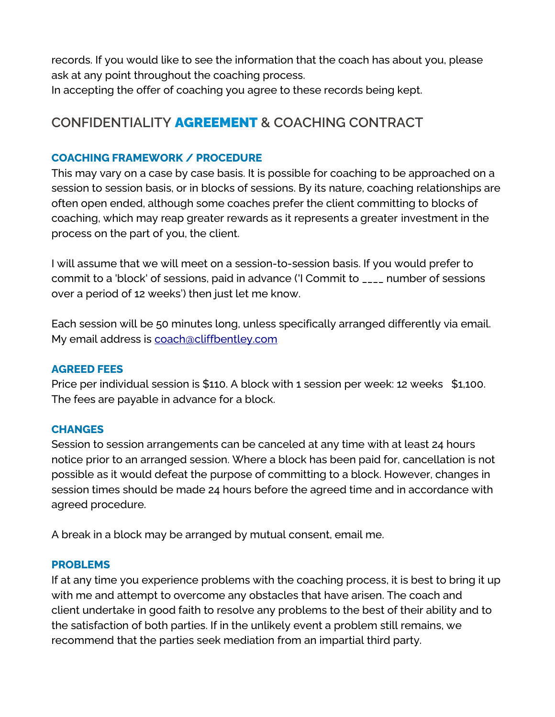records. If you would like to see the information that the coach has about you, please ask at any point throughout the coaching process. In accepting the offer of coaching you agree to these records being kept.

# **CONFIDENTIALITY** AGREEMENT **& COACHING CONTRACT**

### **COACHING FRAMEWORK / PROCEDURE**

This may vary on a case by case basis. It is possible for coaching to be approached on a session to session basis, or in blocks of sessions. By its nature, coaching relationships are often open ended, although some coaches prefer the client committing to blocks of coaching, which may reap greater rewards as it represents a greater investment in the process on the part of you, the client.

I will assume that we will meet on a session-to-session basis. If you would prefer to commit to a 'block' of sessions, paid in advance ('I Commit to \_\_\_\_ number of sessions over a period of 12 weeks') then just let me know.

Each session will be 50 minutes long, unless specifically arranged differently via email. My email address is [coach@cliffbentley.com](mailto:cliff@cliffbentley.com) 

### **AGREED FEES**

Price per individual session is \$110. A block with 1 session per week: 12 weeks \$1,100. The fees are payable in advance for a block.

### **CHANGES**

Session to session arrangements can be canceled at any time with at least 24 hours notice prior to an arranged session. Where a block has been paid for, cancellation is not possible as it would defeat the purpose of committing to a block. However, changes in session times should be made 24 hours before the agreed time and in accordance with agreed procedure.

A break in a block may be arranged by mutual consent, email me.

#### **PROBLEMS**

If at any time you experience problems with the coaching process, it is best to bring it up with me and attempt to overcome any obstacles that have arisen. The coach and client undertake in good faith to resolve any problems to the best of their ability and to the satisfaction of both parties. If in the unlikely event a problem still remains, we recommend that the parties seek mediation from an impartial third party.